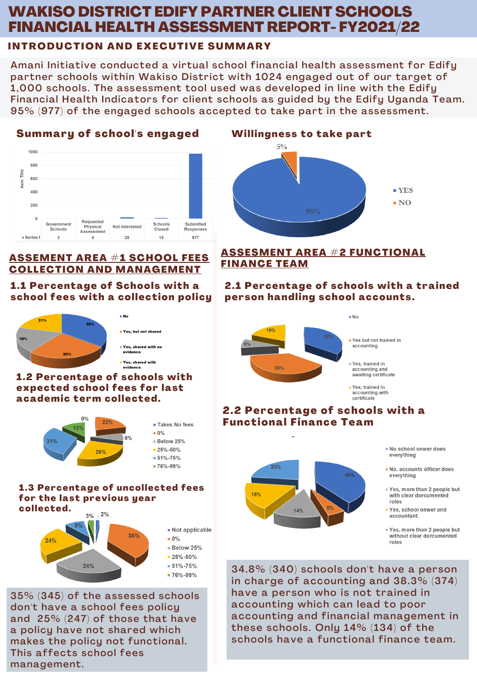# WAKISO DISTRICT EDIFY PARTNER CLIENT SCHOOLS FINANCIAL HEALTH ASSESSMENT REPORT- FY2021/22

## INTRODUCTION AND EXECUTIVE SUMMARY

Amani Initiative conducted a virtual school financial health assessment for Edify partner schools within Wakiso District with 1024 engaged out of our target of 1,000 schools. The assessment tool used was developed in line with the Edify Financial Health Indicators for client schools as guided by the Edify Uganda Team. 95% (977) of the engaged schools accepted to take part in the assessment.

## Summary of school's engaged



## ASSEMENT AREA #1 SCHOOL FEES COLLECTION AND MANAGEMENT

### 1.1 Percentage of Schools with a school fees with a collection policy



#### 1.2 Percentage of schools with expected school fees for last academic term collected.



#### 1.3 Percentage of uncollected fees for the last previous year collected.



35% (345) of the assessed schools don't have a school fees policy and 25% (247) of those that have a policy have not shared which makes the policy not functional. This affects school fees management.

## Willingness to take part



#### ASSESMENT AREA #2 FUNCTIONAL FINANCE TEAM

## 2.1 Percentage of schools with a trained person handling school accounts.



accounting and awaiting certificate

- Yes, trained in accounting with certificate

## 2.2 Percentage of schools with a Functional Finance Team



- . No school onwer does everything
- No, accounts officer does everything
- Yes, more than 2 people but with clear dorcumented roles
- " Yes, school onwer and accountant.
- Yes, more than 2 people but without clear dorcumented roles

34.8% (340) schools don't have a person in charge of accounting and 38.3% (374) have a person who is not trained in accounting which can lead to poor accounting and financial management in these schools. Only 14% (134) of the schools have a functional finance team.